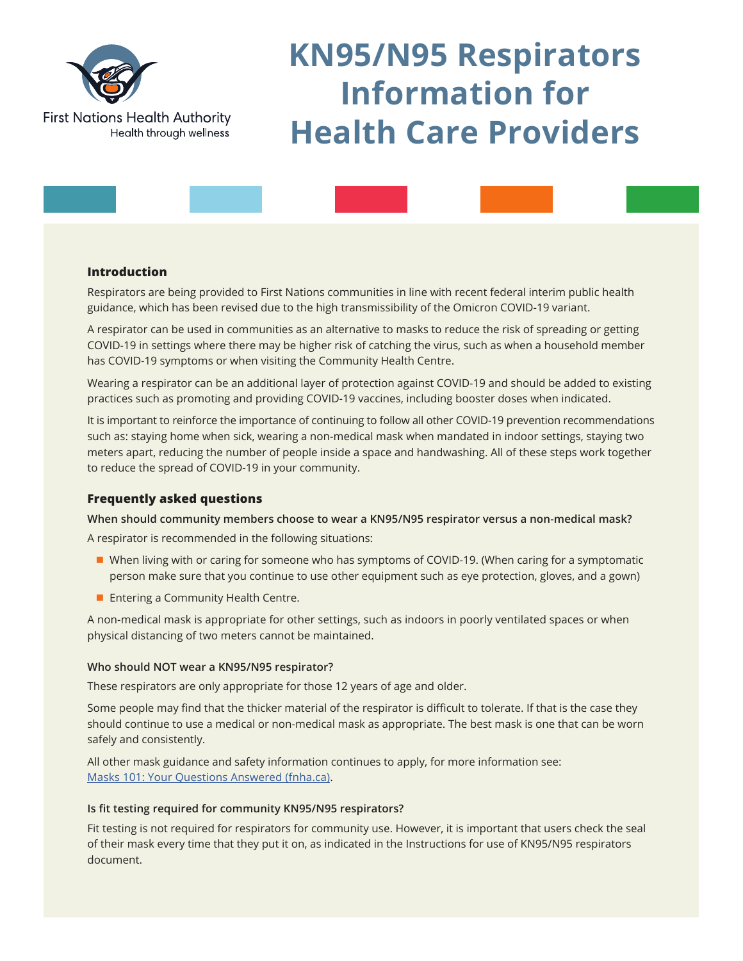

# **KN95/N95 Respirators Information for Health Care Providers**

# **Introduction**

Respirators are being provided to First Nations communities in line with recent federal interim public health guidance, which has been revised due to the high transmissibility of the Omicron COVID-19 variant.

A respirator can be used in communities as an alternative to masks to reduce the risk of spreading or getting COVID-19 in settings where there may be higher risk of catching the virus, such as when a household member has COVID-19 symptoms or when visiting the Community Health Centre.

Wearing a respirator can be an additional layer of protection against COVID-19 and should be added to existing practices such as promoting and providing COVID-19 vaccines, including booster doses when indicated.

It is important to reinforce the importance of continuing to follow all other COVID-19 prevention recommendations such as: staying home when sick, wearing a non-medical mask when mandated in indoor settings, staying two meters apart, reducing the number of people inside a space and handwashing. All of these steps work together to reduce the spread of COVID-19 in your community.

# **Frequently asked questions**

**When should community members choose to wear a KN95/N95 respirator versus a non-medical mask?**

A respirator is recommended in the following situations:

- When living with or caring for someone who has symptoms of COVID-19. (When caring for a symptomatic person make sure that you continue to use other equipment such as eye protection, gloves, and a gown)
- **Entering a Community Health Centre.**

A non-medical mask is appropriate for other settings, such as indoors in poorly ventilated spaces or when physical distancing of two meters cannot be maintained.

## **Who should NOT wear a KN95/N95 respirator?**

These respirators are only appropriate for those 12 years of age and older.

Some people may find that the thicker material of the respirator is difficult to tolerate. If that is the case they should continue to use a medical or non-medical mask as appropriate. The best mask is one that can be worn safely and consistently.

All other mask guidance and safety information continues to apply, for more information see: [Masks 101: Your Questions Answered \(fnha.ca\)](https://www.fnha.ca/about/news-and-events/news/masks-101-your-questions-answered).

### **Is fit testing required for community KN95/N95 respirators?**

Fit testing is not required for respirators for community use. However, it is important that users check the seal of their mask every time that they put it on, as indicated in the Instructions for use of KN95/N95 respirators document.